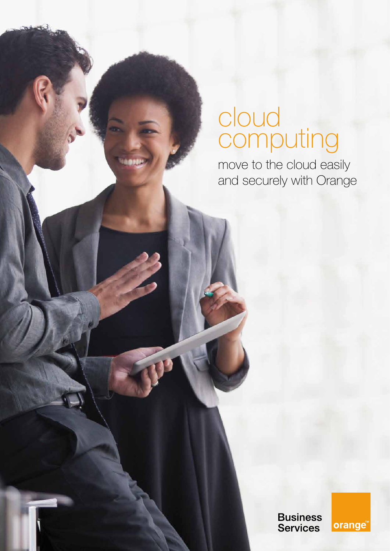# cloud computing

move to the cloud easily and securely with Orange

> **Business** Services

orange<sup>™</sup>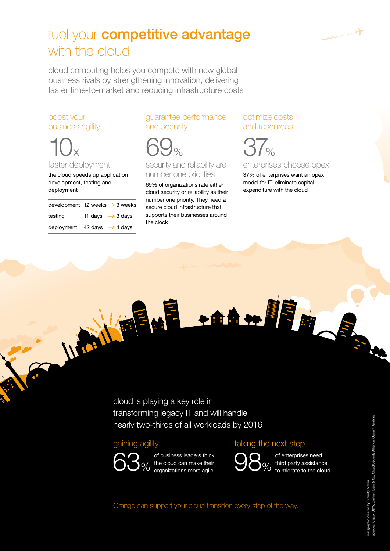

# fuel your **competitive advantage** with the cloud

cloud computing helps you compete with new global business rivals by strengthening innovation, delivering faster time-to-market and reducing infrastructure costs

# boost your business agility

 $10x$ 

faster deployment

the cloud speeds up application development, testing and deployment

|         | development 12 weeks $\rightarrow$ 3 weeks |
|---------|--------------------------------------------|
| testing | 11 days $\rightarrow$ 3 days               |
|         | deployment 42 days $\rightarrow$ 4 days    |

Warthers

guarantee performance and security

69%

security and reliability are number one priorities

69% of organizations rate either cloud security or reliability as their number one priority. They need a secure cloud infrastructure that supports their businesses around the clock

## optimize costs and resources



enterprises choose opex

37% of enterprises want an opex model for IT. eliminate capital expenditure with the cloud

cloud is playing a key role in transforming legacy IT and will handle nearly two-thirds of all workloads by 2016

### gaining agility



of business leaders think the cloud can make their organizations more agile  $63%$  of business leaders think<br> $63%$  the cloud can make their  $98%$ 

### taking the next step



of enterprises need third party assistance to migrate to the cloud

Orange can support your cloud transition every step of the way.

 $\rightarrow$  of  $\frac{1}{2}$  and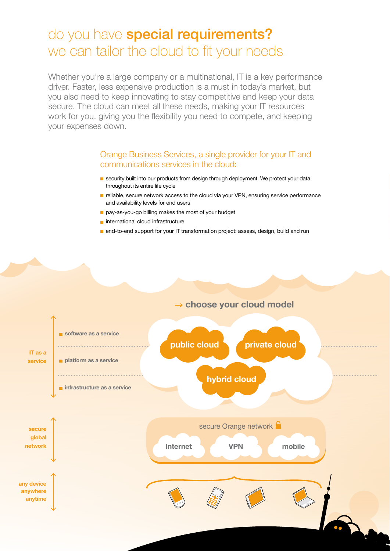# do you have special requirements? we can tailor the cloud to fit your needs

Whether you're a large company or a multinational, IT is a key performance driver. Faster, less expensive production is a must in today's market, but you also need to keep innovating to stay competitive and keep your data secure. The cloud can meet all these needs, making your IT resources work for you, giving you the flexibility you need to compete, and keeping your expenses down.

### Orange Business Services, a single provider for your IT and communications services in the cloud:

- security built into our products from design through deployment. We protect your data throughout its entire life cycle
- $\blacksquare$  reliable, secure network access to the cloud via your VPN, ensuring service performance and availability levels for end users
- pay-as-you-go billing makes the most of your budget
- $\blacksquare$  international cloud infrastructure
- **n** end-to-end support for your IT transformation project: assess, design, build and run

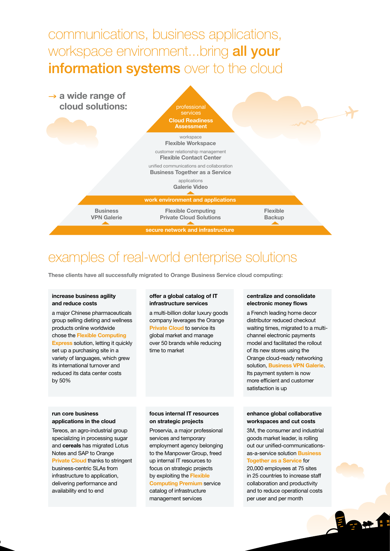communications, business applications, workspace environment...bring all your information systems over to the cloud



# examples of real-world enterprise solutions

**These clients have all successfully migrated to Orange Business Service cloud computing:**

#### **increase business agility and reduce costs**

a major Chinese pharmaceuticals group selling dieting and wellness products online worldwide chose the **Flexible Computing Express** solution, letting it quickly set up a purchasing site in a variety of languages, which grew its international turnover and

#### **offer a global catalog of IT infrastructure services**

a multi-billion dollar luxury goods company leverages the Orange **Private Cloud** to service its global market and manage over 50 brands while reducing time to market

#### **centralize and consolidate electronic money flows**

a French leading home decor distributor reduced checkout waiting times, migrated to a multichannel electronic payments model and facilitated the rollout of its new stores using the Orange cloud-ready networking solution, **Business VPN Galerie**. Its payment system is now more efficient and customer satisfaction is up

#### **run core business applications in the cloud**

reduced its data center costs

by 50%

Tereos, an agro-industrial group specializing in processing sugar and **cereals** has migrated Lotus Notes and SAP to Orange **Private Cloud** thanks to stringent business-centric SLAs from infrastructure to application, delivering performance and availability end to end

#### **focus internal IT resources on strategic projects**

Proservia, a major professional services and temporary employment agency belonging to the Manpower Group, freed up internal IT resources to focus on strategic projects by exploiting the **Flexible Computing Premium** service catalog of infrastructure management services

#### **enhance global collaborative workspaces and cut costs**

3M, the consumer and industrial goods market leader, is rolling out our unified-communicationsas-a-service solution **Business Together as a Service** for 20,000 employees at 75 sites in 25 countries to increase staff collaboration and productivity and to reduce operational costs per user and per month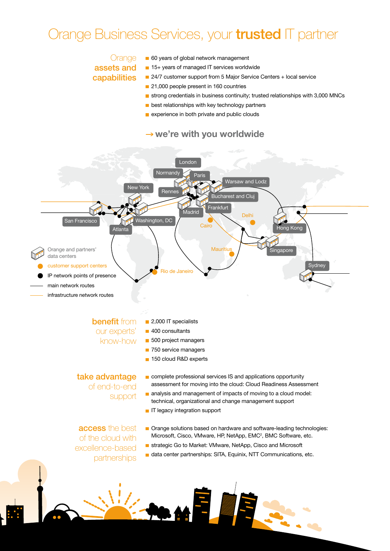# Orange Business Services, your *trusted* IT partner

## **Orange** assets and capabilities

- 60 years of global network management
- 15+ years of managed IT services worldwide
- 24/7 customer support from 5 Major Service Centers + local service
- 21,000 people present in 160 countries
- strong credentials in business continuity; trusted relationships with 3,000 MNCs
- **best relationships with key technology partners**
- experience in both private and public clouds

### → we're with you worldwide